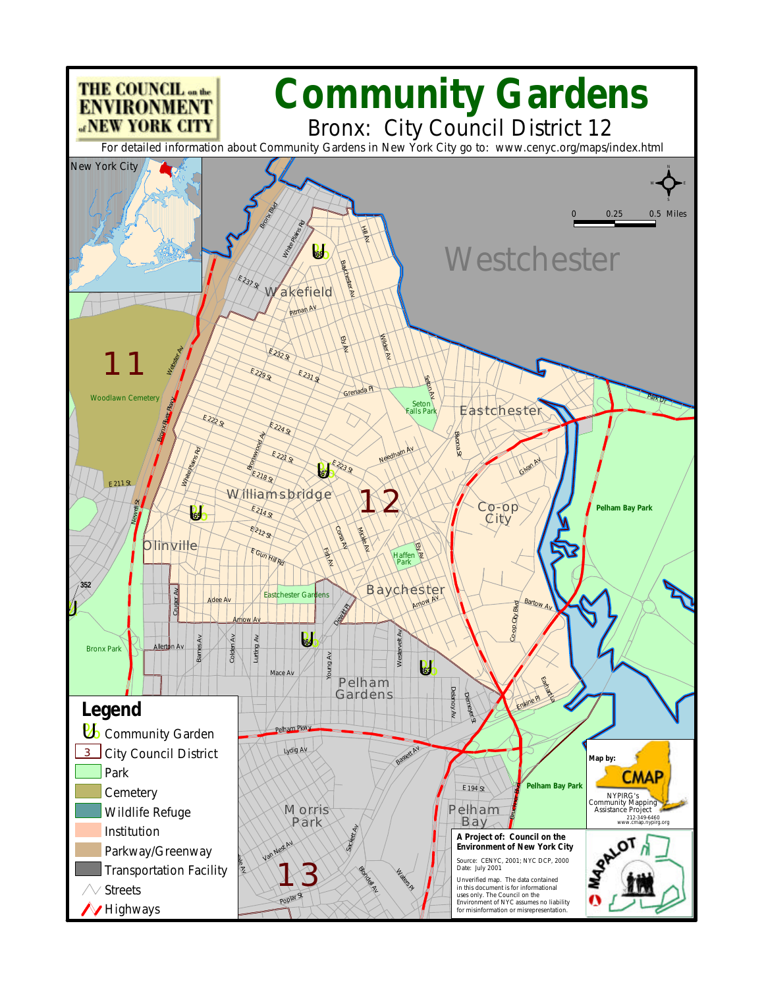